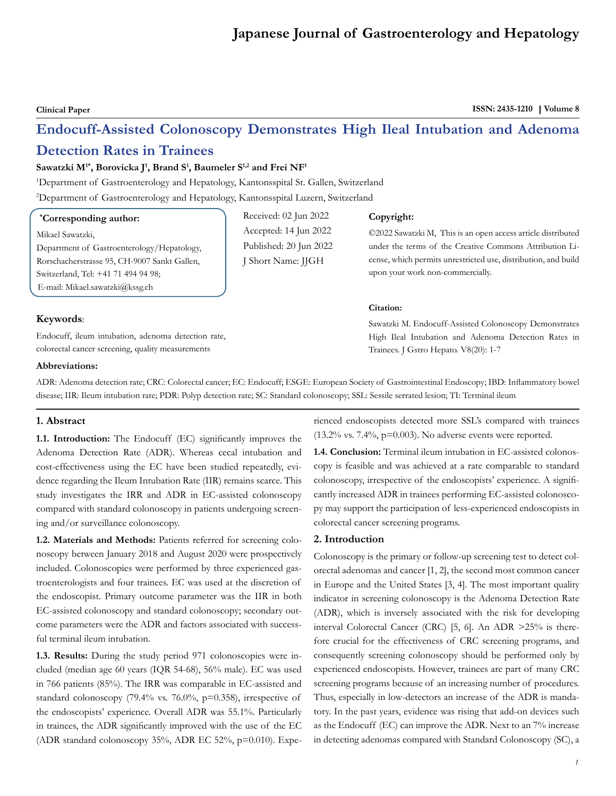# **Japanese Journal of Gastroenterology and Hepatology**

Clinical Paper **ISSN: 2435-1210** | Volume 8

# **Endocuff-Assisted Colonoscopy Demonstrates High Ileal Intubation and Adenoma**

# **Detection Rates in Trainees**

# $\mathbf{S}$ awatzki  $\mathbf{M}^{1*},$  Borovicka J<sup>1</sup>, Brand  $\mathbf{S}^{1},$  Baumeler  $\mathbf{S}^{1,2}$  and Frei  $\mathbf{N}\mathbf{F}^{1}$

1 Department of Gastroenterology and Hepatology, Kantonsspital St. Gallen, Switzerland

2 Department of Gastroenterology and Hepatology, Kantonsspital Luzern, Switzerland

# **\* Corresponding author:**

Mikael Sawatzki,

Department of Gastroenterology/Hepatology, Rorschacherstrasse 95, CH-9007 Sankt Gallen, Switzerland, Tel: +41 71 494 94 98; E-mail: Mikael.sawatzki@kssg.ch

Received: 02 Jun 2022 Accepted: 14 Jun 2022 Published: 20 Jun 2022 J Short Name: JJGH

#### **Copyright:**

©2022 Sawatzki M, This is an open access article distributed under the terms of the Creative Commons Attribution License, which permits unrestricted use, distribution, and build upon your work non-commercially.

Sawatzki M. Endocuff-Assisted Colonoscopy Demonstrates High Ileal Intubation and Adenoma Detection Rates in

# **Citation:**

# **Keywords**:

Endocuff, ileum intubation, adenoma detection rate, colorectal cancer screening, quality measurements

# **Abbreviations:**

ADR: Adenoma detection rate; CRC: Colorectal cancer; EC: Endocuff; ESGE: European Society of Gastrointestinal Endoscopy; IBD: Inflammatory bowel disease; IIR: Ileum intubation rate; PDR: Polyp detection rate; SC: Standard colonoscopy; SSL: Sessile serrated lesion; TI: Terminal ileum

# **1. Abstract**

**1.1. Introduction:** The Endocuff (EC) significantly improves the Adenoma Detection Rate (ADR). Whereas cecal intubation and cost-effectiveness using the EC have been studied repeatedly, evidence regarding the Ileum Intubation Rate (IIR) remains scarce. This study investigates the IRR and ADR in EC-assisted colonoscopy compared with standard colonoscopy in patients undergoing screening and/or surveillance colonoscopy.

**1.2. Materials and Methods:** Patients referred for screening colonoscopy between January 2018 and August 2020 were prospectively included. Colonoscopies were performed by three experienced gastroenterologists and four trainees. EC was used at the discretion of the endoscopist. Primary outcome parameter was the IIR in both EC-assisted colonoscopy and standard colonoscopy; secondary outcome parameters were the ADR and factors associated with successful terminal ileum intubation.

**1.3. Results:** During the study period 971 colonoscopies were included (median age 60 years (IQR 54-68), 56% male). EC was used in 766 patients (85%). The IRR was comparable in EC-assisted and standard colonoscopy (79.4% vs. 76.0%, p=0.358), irrespective of the endoscopists' experience. Overall ADR was 55.1%. Particularly in trainees, the ADR significantly improved with the use of the EC (ADR standard colonoscopy 35%, ADR EC 52%, p=0.010). Experienced endoscopists detected more SSL's compared with trainees (13.2% vs.  $7.4\%$ , p=0.003). No adverse events were reported.

Trainees. J Gstro Hepato. V8(20): 1-7

**1.4. Conclusion:** Terminal ileum intubation in EC-assisted colonoscopy is feasible and was achieved at a rate comparable to standard colonoscopy, irrespective of the endoscopists' experience. A significantly increased ADR in trainees performing EC-assisted colonoscopy may support the participation of less-experienced endoscopists in colorectal cancer screening programs.

# **2. Introduction**

Colonoscopy is the primary or follow-up screening test to detect colorectal adenomas and cancer [1, 2], the second most common cancer in Europe and the United States [3, 4]. The most important quality indicator in screening colonoscopy is the Adenoma Detection Rate (ADR), which is inversely associated with the risk for developing interval Colorectal Cancer (CRC) [5, 6]. An ADR >25% is therefore crucial for the effectiveness of CRC screening programs, and consequently screening colonoscopy should be performed only by experienced endoscopists. However, trainees are part of many CRC screening programs because of an increasing number of procedures. Thus, especially in low-detectors an increase of the ADR is mandatory. In the past years, evidence was rising that add-on devices such as the Endocuff (EC) can improve the ADR. Next to an 7% increase in detecting adenomas compared with Standard Colonoscopy (SC), a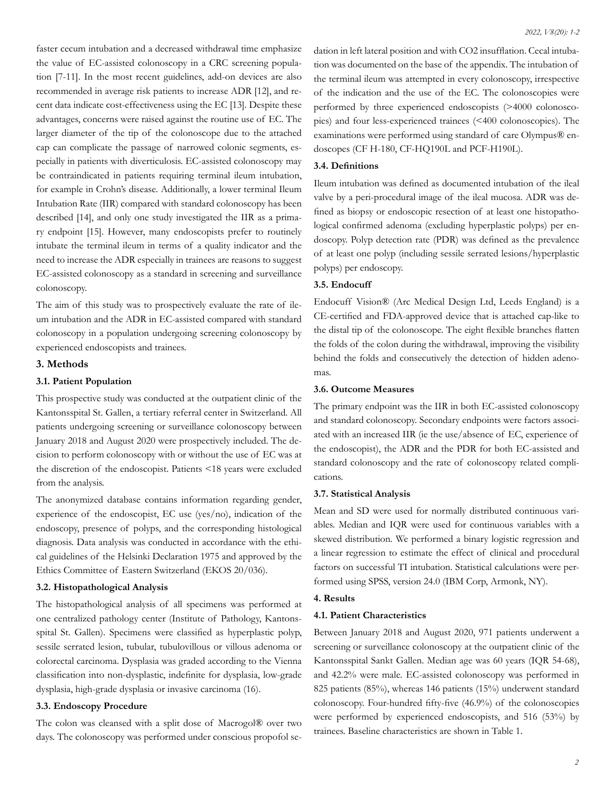faster cecum intubation and a decreased withdrawal time emphasize the value of EC-assisted colonoscopy in a CRC screening population [7-11]. In the most recent guidelines, add-on devices are also recommended in average risk patients to increase ADR [12], and recent data indicate cost-effectiveness using the EC [13]. Despite these advantages, concerns were raised against the routine use of EC. The larger diameter of the tip of the colonoscope due to the attached cap can complicate the passage of narrowed colonic segments, especially in patients with diverticulosis. EC-assisted colonoscopy may be contraindicated in patients requiring terminal ileum intubation, for example in Crohn's disease. Additionally, a lower terminal Ileum Intubation Rate (IIR) compared with standard colonoscopy has been described [14], and only one study investigated the IIR as a primary endpoint [15]. However, many endoscopists prefer to routinely intubate the terminal ileum in terms of a quality indicator and the need to increase the ADR especially in trainees are reasons to suggest EC-assisted colonoscopy as a standard in screening and surveillance colonoscopy.

The aim of this study was to prospectively evaluate the rate of ileum intubation and the ADR in EC-assisted compared with standard colonoscopy in a population undergoing screening colonoscopy by experienced endoscopists and trainees.

# **3. Methods**

# **3.1. Patient Population**

This prospective study was conducted at the outpatient clinic of the Kantonsspital St. Gallen, a tertiary referral center in Switzerland. All patients undergoing screening or surveillance colonoscopy between January 2018 and August 2020 were prospectively included. The decision to perform colonoscopy with or without the use of EC was at the discretion of the endoscopist. Patients <18 years were excluded from the analysis.

The anonymized database contains information regarding gender, experience of the endoscopist, EC use (yes/no), indication of the endoscopy, presence of polyps, and the corresponding histological diagnosis. Data analysis was conducted in accordance with the ethical guidelines of the Helsinki Declaration 1975 and approved by the Ethics Committee of Eastern Switzerland (EKOS 20/036).

# **3.2. Histopathological Analysis**

The histopathological analysis of all specimens was performed at one centralized pathology center (Institute of Pathology, Kantonsspital St. Gallen). Specimens were classified as hyperplastic polyp, sessile serrated lesion, tubular, tubulovillous or villous adenoma or colorectal carcinoma. Dysplasia was graded according to the Vienna classification into non-dysplastic, indefinite for dysplasia, low-grade dysplasia, high-grade dysplasia or invasive carcinoma (16).

# **3.3. Endoscopy Procedure**

The colon was cleansed with a split dose of Macrogol® over two days. The colonoscopy was performed under conscious propofol se-

dation in left lateral position and with CO2 insufflation. Cecal intubation was documented on the base of the appendix. The intubation of the terminal ileum was attempted in every colonoscopy, irrespective of the indication and the use of the EC. The colonoscopies were performed by three experienced endoscopists (>4000 colonoscopies) and four less-experienced trainees (<400 colonoscopies). The examinations were performed using standard of care Olympus® endoscopes (CF H-180, CF-HQ190L and PCF-H190L).

# **3.4. Definitions**

Ileum intubation was defined as documented intubation of the ileal valve by a peri-procedural image of the ileal mucosa. ADR was defined as biopsy or endoscopic resection of at least one histopathological confirmed adenoma (excluding hyperplastic polyps) per endoscopy. Polyp detection rate (PDR) was defined as the prevalence of at least one polyp (including sessile serrated lesions/hyperplastic polyps) per endoscopy.

# **3.5. Endocuff**

Endocuff Vision® (Arc Medical Design Ltd, Leeds England) is a CE-certified and FDA-approved device that is attached cap-like to the distal tip of the colonoscope. The eight flexible branches flatten the folds of the colon during the withdrawal, improving the visibility behind the folds and consecutively the detection of hidden adenomas.

#### **3.6. Outcome Measures**

The primary endpoint was the IIR in both EC-assisted colonoscopy and standard colonoscopy. Secondary endpoints were factors associated with an increased IIR (ie the use/absence of EC, experience of the endoscopist), the ADR and the PDR for both EC-assisted and standard colonoscopy and the rate of colonoscopy related complications.

#### **3.7. Statistical Analysis**

Mean and SD were used for normally distributed continuous variables. Median and IQR were used for continuous variables with a skewed distribution. We performed a binary logistic regression and a linear regression to estimate the effect of clinical and procedural factors on successful TI intubation. Statistical calculations were performed using SPSS, version 24.0 (IBM Corp, Armonk, NY).

# **4. Results**

# **4.1. Patient Characteristics**

Between January 2018 and August 2020, 971 patients underwent a screening or surveillance colonoscopy at the outpatient clinic of the Kantonsspital Sankt Gallen. Median age was 60 years (IQR 54-68), and 42.2% were male. EC-assisted colonoscopy was performed in 825 patients (85%), whereas 146 patients (15%) underwent standard colonoscopy. Four-hundred fifty-five (46.9%) of the colonoscopies were performed by experienced endoscopists, and 516 (53%) by trainees. Baseline characteristics are shown in Table 1.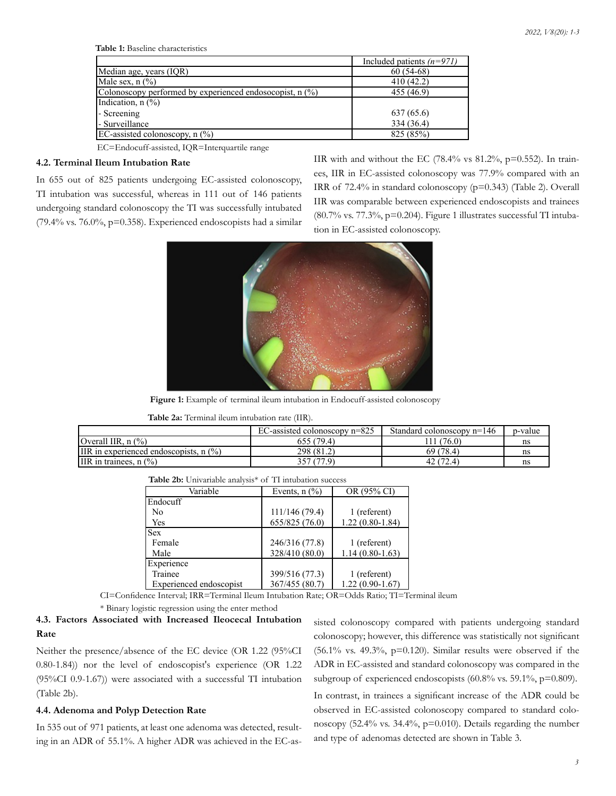**Table 1:** Baseline characteristics

|                                                          | Included patients $(n=971)$ |
|----------------------------------------------------------|-----------------------------|
| Median age, years (IQR)                                  | $60(54-68)$                 |
| Male sex, $n$ $\left(\frac{9}{6}\right)$                 | 410(42.2)                   |
| Colonoscopy performed by experienced endosocopist, n (%) | 455 (46.9)                  |
| Indication, $n$ $(\%)$                                   |                             |
| - Screening                                              | 637 (65.6)                  |
| - Surveillance                                           | 334 (36.4)                  |
| EC-assisted colonoscopy, $n$ $\binom{0}{0}$              | 825 (85%)                   |

EC=Endocuff-assisted, IQR=Interquartile range

# **4.2. Terminal Ileum Intubation Rate**

In 655 out of 825 patients undergoing EC-assisted colonoscopy, TI intubation was successful, whereas in 111 out of 146 patients undergoing standard colonoscopy the TI was successfully intubated (79.4% vs. 76.0%,  $p=0.358$ ). Experienced endoscopists had a similar IIR with and without the EC (78.4% vs  $81.2\%$ , p=0.552). In trainees, IIR in EC-assisted colonoscopy was 77.9% compared with an IRR of 72.4% in standard colonoscopy (p=0.343) (Table 2). Overall IIR was comparable between experienced endoscopists and trainees (80.7% vs. 77.3%, p=0.204). Figure 1 illustrates successful TI intubation in EC-assisted colonoscopy.



**Figure 1:** Example of terminal ileum intubation in Endocuff-assisted colonoscopy

**Table 2a:** Terminal ileum intubation rate (IIR).

|                                          | EC-assisted colonoscopy $n=825$ | Standard colonoscopy $n=146$ | p-value |
|------------------------------------------|---------------------------------|------------------------------|---------|
| <b>Overall IIR.</b> $n$ $\frac{6}{6}$    | 655 (79.4)                      | (76.0)<br>111                | ns      |
| IIR in experienced endoscopists, $n$ (%) | 298 (81.2)                      | 69 (78.4)                    | ns      |
| IIR in trainees, $n$ $\frac{6}{6}$       | 357 (77.9)                      | 42 <sub>1</sub><br>72.4      | ns      |

| Variable                | Events, $n$ $\left(\frac{9}{6}\right)$ | OR (95% CI)       |
|-------------------------|----------------------------------------|-------------------|
| Endocuff                |                                        |                   |
| N <sub>0</sub>          | 111/146 (79.4)                         | 1 (referent)      |
| Yes                     | 655/825 (76.0)                         | $1.22(0.80-1.84)$ |
| <b>Sex</b>              |                                        |                   |
| Female                  | 246/316 (77.8)                         | 1 (referent)      |
| Male                    | 328/410 (80.0)                         | $1.14(0.80-1.63)$ |
| Experience              |                                        |                   |
| Trainee                 | 399/516 (77.3)                         | 1 (referent)      |
| Experienced endoscopist | 367/455 (80.7)                         | $1.22(0.90-1.67)$ |

| <b>Table 2b:</b> Univariable analysis <sup>*</sup> of TI intubation success |  |
|-----------------------------------------------------------------------------|--|
|-----------------------------------------------------------------------------|--|

CI=Confidence Interval; IRR=Terminal Ileum Intubation Rate; OR=Odds Ratio; TI=Terminal ileum

\* Binary logistic regression using the enter method

# **4.3. Factors Associated with Increased Ileocecal Intubation Rate**

Neither the presence/absence of the EC device (OR 1.22 (95%CI 0.80-1.84)) nor the level of endoscopist's experience (OR 1.22 (95%CI 0.9-1.67)) were associated with a successful TI intubation (Table 2b).

# **4.4. Adenoma and Polyp Detection Rate**

In 535 out of 971 patients, at least one adenoma was detected, resulting in an ADR of 55.1%. A higher ADR was achieved in the EC-assisted colonoscopy compared with patients undergoing standard colonoscopy; however, this difference was statistically not significant (56.1% vs. 49.3%, p=0.120). Similar results were observed if the ADR in EC-assisted and standard colonoscopy was compared in the subgroup of experienced endoscopists (60.8% vs. 59.1%, p=0.809).

In contrast, in trainees a significant increase of the ADR could be observed in EC-assisted colonoscopy compared to standard colonoscopy (52.4% vs. 34.4%, p=0.010). Details regarding the number and type of adenomas detected are shown in Table 3.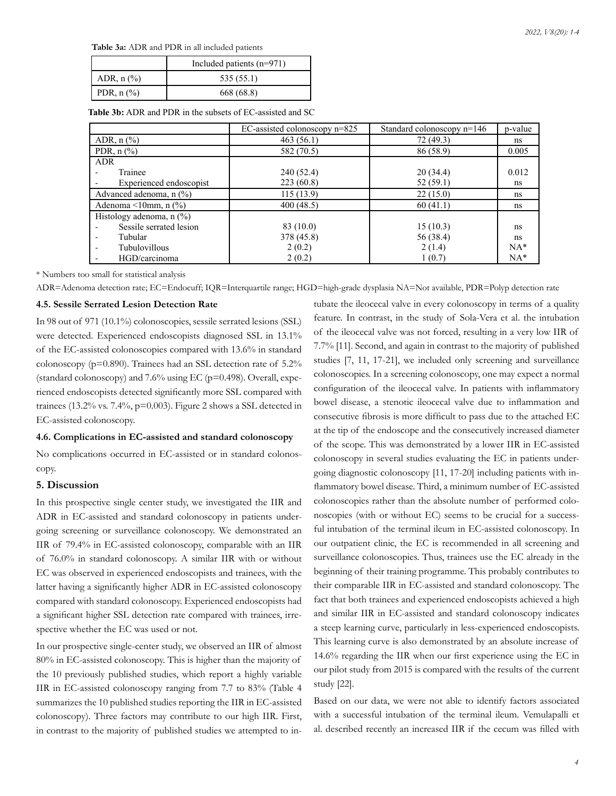**Table 3a:** ADR and PDR in all included patients

|                                     | Included patients $(n=971)$ |  |  |  |
|-------------------------------------|-----------------------------|--|--|--|
| ADR, $n$ $(\%)$                     | 535 (55.1)                  |  |  |  |
| PDR, $n$ $\left(\frac{9}{6}\right)$ | 668 (68.8)                  |  |  |  |

**Table 3b:** ADR and PDR in the subsets of EC-assisted and SC

|                                                    | EC-assisted colonoscopy n=825 | Standard colonoscopy n=146 | p-value |
|----------------------------------------------------|-------------------------------|----------------------------|---------|
| ADR, $n$ $\left(\frac{9}{6}\right)$                | 463(56.1)                     | 72 (49.3)                  | ns      |
| PDR, $n$ $\left(\frac{9}{6}\right)$                | 582 (70.5)                    | 86 (58.9)                  | 0.005   |
| <b>ADR</b>                                         |                               |                            |         |
| Trainee                                            | 240 (52.4)                    | 20(34.4)                   | 0.012   |
| Experienced endoscopist                            | 223(60.8)                     | 52(59.1)                   | ns      |
| Advanced adenoma, n (%)                            | 115(13.9)                     | 22(15.0)                   | ns      |
| Adenoma $\leq 10$ mm, n $\left(\frac{9}{6}\right)$ | 400(48.5)                     | 60(41.1)                   | ns      |
| Histology adenoma, $n$ (%)                         |                               |                            |         |
| Sessile serrated lesion                            | 83 (10.0)                     | 15(10.3)                   | ns      |
| Tubular                                            | 378 (45.8)                    | 56 (38.4)                  | ns      |
| <b>Tubulovillous</b><br>۰                          | 2(0.2)                        | 2(1.4)                     | $NA*$   |
| HGD/carcinoma                                      | 2(0.2)                        | 1(0.7)                     | $NA*$   |

\* Numbers too small for statistical analysis

ADR=Adenoma detection rate; EC=Endocuff; IQR=Interquartile range; HGD=high-grade dysplasia NA=Not available, PDR=Polyp detection rate

# **4.5. Sessile Serrated Lesion Detection Rate**

In 98 out of 971 (10.1%) colonoscopies, sessile serrated lesions (SSL) were detected. Experienced endoscopists diagnosed SSL in 13.1% of the EC-assisted colonoscopies compared with 13.6% in standard colonoscopy (p=0.890). Trainees had an SSL detection rate of 5.2% (standard colonoscopy) and  $7.6\%$  using EC ( $p=0.498$ ). Overall, experienced endoscopists detected significantly more SSL compared with trainees (13.2% vs. 7.4%, p=0.003). Figure 2 shows a SSL detected in EC-assisted colonoscopy.

# **4.6. Complications in EC-assisted and standard colonoscopy**

No complications occurred in EC-assisted or in standard colonoscopy.

# **5. Discussion**

In this prospective single center study, we investigated the IIR and ADR in EC-assisted and standard colonoscopy in patients undergoing screening or surveillance colonoscopy. We demonstrated an IIR of 79.4% in EC-assisted colonoscopy, comparable with an IIR of 76.0% in standard colonoscopy. A similar IIR with or without EC was observed in experienced endoscopists and trainees, with the latter having a significantly higher ADR in EC-assisted colonoscopy compared with standard colonoscopy. Experienced endoscopists had a significant higher SSL detection rate compared with trainees, irrespective whether the EC was used or not.

In our prospective single-center study, we observed an IIR of almost 80% in EC-assisted colonoscopy. This is higher than the majority of the 10 previously published studies, which report a highly variable IIR in EC-assisted colonoscopy ranging from 7.7 to 83% (Table 4 summarizes the 10 published studies reporting the IIR in EC-assisted colonoscopy). Three factors may contribute to our high IIR. First, in contrast to the majority of published studies we attempted to in-

tubate the ileocecal valve in every colonoscopy in terms of a quality feature. In contrast, in the study of Sola-Vera et al. the intubation of the ileocecal valve was not forced, resulting in a very low IIR of 7.7% [11]. Second, and again in contrast to the majority of published studies [7, 11, 17-21], we included only screening and surveillance colonoscopies. In a screening colonoscopy, one may expect a normal configuration of the ileocecal valve. In patients with inflammatory bowel disease, a stenotic ileocecal valve due to inflammation and consecutive fibrosis is more difficult to pass due to the attached EC at the tip of the endoscope and the consecutively increased diameter of the scope. This was demonstrated by a lower IIR in EC-assisted colonoscopy in several studies evaluating the EC in patients undergoing diagnostic colonoscopy [11, 17-20] including patients with inflammatory bowel disease. Third, a minimum number of EC-assisted colonoscopies rather than the absolute number of performed colonoscopies (with or without EC) seems to be crucial for a successful intubation of the terminal ileum in EC-assisted colonoscopy. In our outpatient clinic, the EC is recommended in all screening and surveillance colonoscopies. Thus, trainees use the EC already in the beginning of their training programme. This probably contributes to their comparable IIR in EC-assisted and standard colonoscopy. The fact that both trainees and experienced endoscopists achieved a high and similar IIR in EC-assisted and standard colonoscopy indicates a steep learning curve, particularly in less-experienced endoscopists. This learning curve is also demonstrated by an absolute increase of 14.6% regarding the IIR when our first experience using the EC in our pilot study from 2015 is compared with the results of the current study [22].

Based on our data, we were not able to identify factors associated with a successful intubation of the terminal ileum. Vemulapalli et al. described recently an increased IIR if the cecum was filled with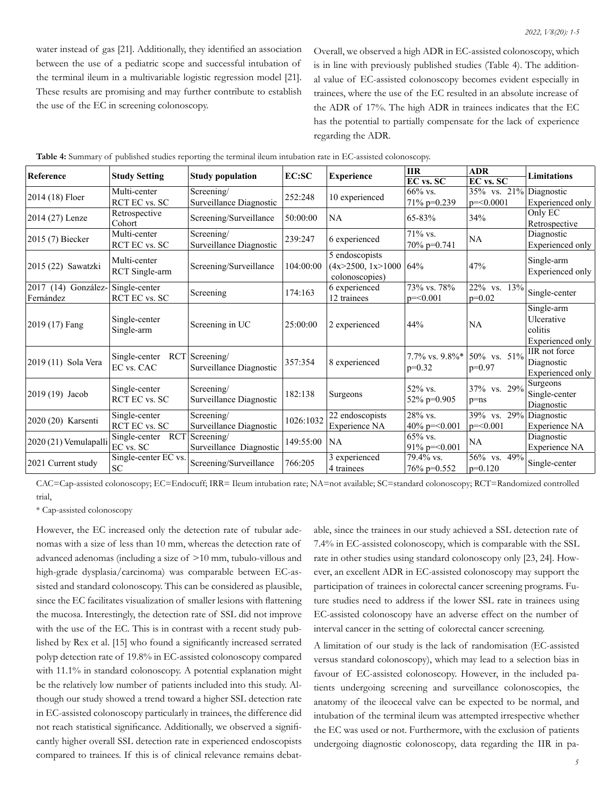water instead of gas [21]. Additionally, they identified an association between the use of a pediatric scope and successful intubation of the terminal ileum in a multivariable logistic regression model [21]. These results are promising and may further contribute to establish the use of the EC in screening colonoscopy.

Overall, we observed a high ADR in EC-assisted colonoscopy, which is in line with previously published studies (Table 4). The additional value of EC-assisted colonoscopy becomes evident especially in trainees, where the use of the EC resulted in an absolute increase of the ADR of 17%. The high ADR in trainees indicates that the EC has the potential to partially compensate for the lack of experience regarding the ADR.

| Reference             | <b>Study Setting</b>        | <b>Study population</b> | EC:SC     | <b>Experience</b>        | <b>IIR</b>          | <b>ADR</b>                   | <b>Limitations</b> |
|-----------------------|-----------------------------|-------------------------|-----------|--------------------------|---------------------|------------------------------|--------------------|
|                       |                             |                         |           |                          | EC vs. SC           | EC vs. SC                    |                    |
| 2014 (18) Floer       | Multi-center                | Screening/              | 252:248   | 10 experienced           | 66% vs.             | $35\%$ vs. $21\%$ Diagnostic |                    |
|                       | RCT EC vs. SC               | Surveillance Diagnostic |           |                          | $71\%$ p=0.239      | $p = 0.0001$                 | Experienced only   |
| 2014 (27) Lenze       | Retrospective               | Screening/Surveillance  | 50:00:00  | <b>NA</b>                | 65-83%              | 34%                          | Only EC            |
|                       | Cohort                      |                         |           |                          |                     |                              | Retrospective      |
| $2015(7)$ Biecker     | Multi-center                | Screening/              | 239:247   | 6 experienced            | 71% vs.             | NA                           | Diagnostic         |
|                       | RCT EC vs. SC               | Surveillance Diagnostic |           |                          | 70% p=0.741         |                              | Experienced only   |
|                       | Multi-center                |                         |           | 5 endoscopists           |                     |                              | Single-arm         |
| 2015 (22) Sawatzki    | <b>RCT</b> Single-arm       | Screening/Surveillance  | 104:00:00 | $(4x>2500, 1x>1000)$ 64% |                     | 47%                          | Experienced only   |
|                       |                             |                         |           | colonoscopies)           |                     |                              |                    |
| 2017 (14) González-   | Single-center               | Screening               | 174:163   | 6 experienced            | 73% vs. 78%         | 22% vs. 13%                  | Single-center      |
| Fernández             | RCT EC vs. SC               |                         |           | 12 trainees              | $p = 0.001$         | $p=0.02$                     |                    |
|                       | Single-center<br>Single-arm | Screening in UC         |           | 2 experienced            | 44%                 | NA                           | Single-arm         |
| 2019 (17) Fang        |                             |                         | 25:00:00  |                          |                     |                              | Ulcerative         |
|                       |                             |                         |           |                          |                     |                              | colitis            |
|                       |                             |                         |           |                          |                     |                              | Experienced only   |
|                       | Single-center               | $RCT$ Screening         |           |                          | 7.7% vs. 9.8%*      | 50% vs. 51%                  | IIR not force      |
| 2019 (11) Sola Vera   | EC vs. CAC                  | Surveillance Diagnostic | 357:354   | 8 experienced            | $p=0.32$            | $p=0.97$                     | Diagnostic         |
|                       |                             |                         |           |                          |                     |                              | Experienced only   |
|                       | Single-center               | Screening/              |           |                          | 52% vs.             | 37% vs. 29%                  | Surgeons           |
| 2019 (19) Jacob       | <b>RCT EC vs. SC</b>        | Surveillance Diagnostic | 182:138   | Surgeons                 | 52% p=0.905         | $p = ns$                     | Single-center      |
|                       |                             |                         |           |                          |                     |                              | Diagnostic         |
| 2020 (20) Karsenti    | Single-center               | Screening/              | 1026:1032 | 22 endoscopists          | 28% vs.             | 39% vs. 29%                  | Diagnostic         |
|                       | RCT EC vs. SC               | Surveillance Diagnostic |           | Experience NA            | 40% p= $\leq 0.001$ | $p = 0.001$                  | Experience NA      |
| 2020 (21) Vemulapalli | <b>RCT</b><br>Single-center | Screening/              | 149:55:00 | <b>NA</b>                | $65\%$ vs.          | NA                           | Diagnostic         |
|                       | EC vs. SC                   | Surveillance Diagnostic |           |                          | 91% p= $<$ 0.001    |                              | Experience NA      |
| 2021 Current study    | Single-center EC vs.        | Screening/Surveillance  | 766:205   | 3 experienced            | 79.4% vs.           | 56% vs. 49%                  | Single-center      |
|                       | ${\rm SC}$                  |                         |           | 4 trainees               | 76% p=0.552         | $p=0.120$                    |                    |

|  |  |  |  |  | Table 4: Summary of published studies reporting the terminal ileum intubation rate in EC-assisted colonoscopy. |
|--|--|--|--|--|----------------------------------------------------------------------------------------------------------------|
|--|--|--|--|--|----------------------------------------------------------------------------------------------------------------|

CAC=Cap-assisted colonoscopy; EC=Endocuff; IRR= Ileum intubation rate; NA=not available; SC=standard colonoscopy; RCT=Randomized controlled trial,

\* Cap-assisted colonoscopy

However, the EC increased only the detection rate of tubular adenomas with a size of less than 10 mm, whereas the detection rate of advanced adenomas (including a size of >10 mm, tubulo-villous and high-grade dysplasia/carcinoma) was comparable between EC-assisted and standard colonoscopy. This can be considered as plausible, since the EC facilitates visualization of smaller lesions with flattening the mucosa. Interestingly, the detection rate of SSL did not improve with the use of the EC. This is in contrast with a recent study published by Rex et al. [15] who found a significantly increased serrated polyp detection rate of 19.8% in EC-assisted colonoscopy compared with 11.1% in standard colonoscopy. A potential explanation might be the relatively low number of patients included into this study. Although our study showed a trend toward a higher SSL detection rate in EC-assisted colonoscopy particularly in trainees, the difference did not reach statistical significance. Additionally, we observed a significantly higher overall SSL detection rate in experienced endoscopists compared to trainees. If this is of clinical relevance remains debatable, since the trainees in our study achieved a SSL detection rate of 7.4% in EC-assisted colonoscopy, which is comparable with the SSL rate in other studies using standard colonoscopy only [23, 24]. However, an excellent ADR in EC-assisted colonoscopy may support the participation of trainees in colorectal cancer screening programs. Future studies need to address if the lower SSL rate in trainees using EC-assisted colonoscopy have an adverse effect on the number of interval cancer in the setting of colorectal cancer screening.

A limitation of our study is the lack of randomisation (EC-assisted versus standard colonoscopy), which may lead to a selection bias in favour of EC-assisted colonoscopy. However, in the included patients undergoing screening and surveillance colonoscopies, the anatomy of the ileocecal valve can be expected to be normal, and intubation of the terminal ileum was attempted irrespective whether the EC was used or not. Furthermore, with the exclusion of patients undergoing diagnostic colonoscopy, data regarding the IIR in pa-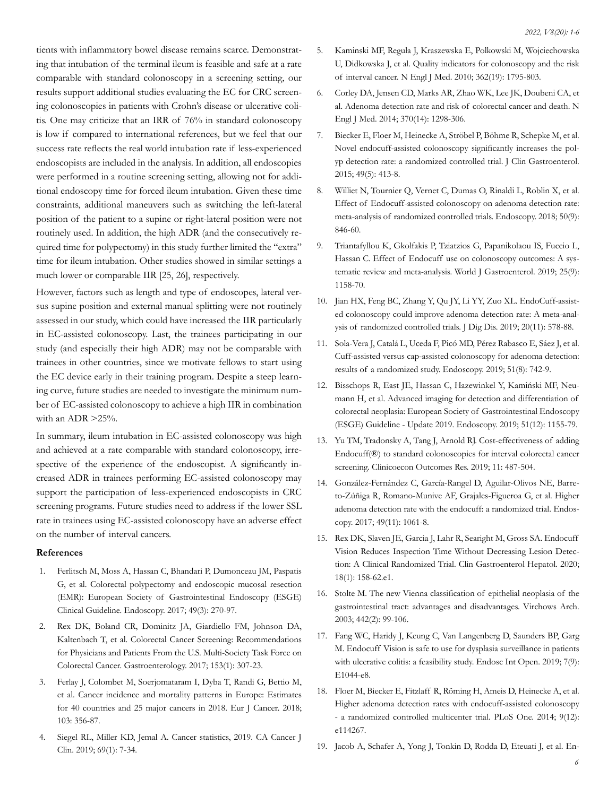tients with inflammatory bowel disease remains scarce. Demonstrating that intubation of the terminal ileum is feasible and safe at a rate comparable with standard colonoscopy in a screening setting, our results support additional studies evaluating the EC for CRC screening colonoscopies in patients with Crohn's disease or ulcerative colitis. One may criticize that an IRR of 76% in standard colonoscopy is low if compared to international references, but we feel that our success rate reflects the real world intubation rate if less-experienced endoscopists are included in the analysis. In addition, all endoscopies were performed in a routine screening setting, allowing not for additional endoscopy time for forced ileum intubation. Given these time constraints, additional maneuvers such as switching the left-lateral position of the patient to a supine or right-lateral position were not routinely used. In addition, the high ADR (and the consecutively required time for polypectomy) in this study further limited the "extra" time for ileum intubation. Other studies showed in similar settings a much lower or comparable IIR [25, 26], respectively.

However, factors such as length and type of endoscopes, lateral versus supine position and external manual splitting were not routinely assessed in our study, which could have increased the IIR particularly in EC-assisted colonoscopy. Last, the trainees participating in our study (and especially their high ADR) may not be comparable with trainees in other countries, since we motivate fellows to start using the EC device early in their training program. Despite a steep learning curve, future studies are needed to investigate the minimum number of EC-assisted colonoscopy to achieve a high IIR in combination with an ADR >25%.

In summary, ileum intubation in EC-assisted colonoscopy was high and achieved at a rate comparable with standard colonoscopy, irrespective of the experience of the endoscopist. A significantly increased ADR in trainees performing EC-assisted colonoscopy may support the participation of less-experienced endoscopists in CRC screening programs. Future studies need to address if the lower SSL rate in trainees using EC-assisted colonoscopy have an adverse effect on the number of interval cancers.

#### **References**

- 1. [Ferlitsch M, Moss A, Hassan C, Bhandari P, Dumonceau JM, Paspatis](https://pubmed.ncbi.nlm.nih.gov/28212588/) [G, et al. Colorectal polypectomy and endoscopic mucosal resection](https://pubmed.ncbi.nlm.nih.gov/28212588/) [\(EMR\): European Society of Gastrointestinal Endoscopy \(ESGE\)](https://pubmed.ncbi.nlm.nih.gov/28212588/) [Clinical Guideline. Endoscopy. 2017; 49\(3\): 270-97.](https://pubmed.ncbi.nlm.nih.gov/28212588/)
- 2. [Rex DK, Boland CR, Dominitz JA, Giardiello FM, Johnson DA,](https://pubmed.ncbi.nlm.nih.gov/28555630/) [Kaltenbach T, et al. Colorectal Cancer Screening: Recommendations](https://pubmed.ncbi.nlm.nih.gov/28555630/)  [for Physicians and Patients From the U.S. Multi-Society Task Force on](https://pubmed.ncbi.nlm.nih.gov/28555630/)  [Colorectal Cancer. Gastroenterology. 2017; 153\(1\): 307-23.](https://pubmed.ncbi.nlm.nih.gov/28555630/)
- 3. [Ferlay J, Colombet M, Soerjomataram I, Dyba T, Randi G, Bettio M,](https://pubmed.ncbi.nlm.nih.gov/30100160/) [et al. Cancer incidence and mortality patterns in Europe: Estimates](https://pubmed.ncbi.nlm.nih.gov/30100160/)  [for 40 countries and 25 major cancers in 2018. Eur J Cancer. 2018;](https://pubmed.ncbi.nlm.nih.gov/30100160/) [103: 356-87.](https://pubmed.ncbi.nlm.nih.gov/30100160/)
- Siegel RL, Miller KD, Jemal A. Cancer statistics, 2019. CA Cancer J [Clin. 2019; 69\(1\): 7-34.](https://pubmed.ncbi.nlm.nih.gov/30620402/)
- 5. [Kaminski MF, Regula J, Kraszewska E, Polkowski M, Wojciechowska](https://www.nejm.org/doi/full/10.1056/nejmoa0907667) [U, Didkowska J, et al. Quality indicators for colonoscopy and the risk](https://www.nejm.org/doi/full/10.1056/nejmoa0907667)  [of interval cancer. N Engl J Med. 2010; 362\(19\): 1795-803.](https://www.nejm.org/doi/full/10.1056/nejmoa0907667)
- 6. [Corley DA, Jensen CD, Marks AR, Zhao WK, Lee JK, Doubeni CA, et](https://pubmed.ncbi.nlm.nih.gov/24693890/) [al. Adenoma detection rate and risk of colorectal cancer and death. N](https://pubmed.ncbi.nlm.nih.gov/24693890/)  [Engl J Med. 2014; 370\(14\): 1298-306.](https://pubmed.ncbi.nlm.nih.gov/24693890/)
- 7. [Biecker E, Floer M, Heinecke A, Ströbel P, Böhme R, Schepke M, et al.](https://pubmed.ncbi.nlm.nih.gov/24921209/) [Novel endocuff-assisted colonoscopy significantly increases the pol](https://pubmed.ncbi.nlm.nih.gov/24921209/)[yp detection rate: a randomized controlled trial. J Clin Gastroenterol.](https://pubmed.ncbi.nlm.nih.gov/24921209/) [2015; 49\(5\): 413-8.](https://pubmed.ncbi.nlm.nih.gov/24921209/)
- 8. [Williet N, Tournier Q, Vernet C, Dumas O, Rinaldi L, Roblin X, et al.](https://pubmed.ncbi.nlm.nih.gov/29698990/) [Effect of Endocuff-assisted colonoscopy on adenoma detection rate:](https://pubmed.ncbi.nlm.nih.gov/29698990/) [meta-analysis of randomized controlled trials. Endoscopy. 2018; 50\(9\):](https://pubmed.ncbi.nlm.nih.gov/29698990/) [846-60.](https://pubmed.ncbi.nlm.nih.gov/29698990/)
- 9. [Triantafyllou K, Gkolfakis P, Tziatzios G, Papanikolaou IS, Fuccio L,](https://pubmed.ncbi.nlm.nih.gov/30863002/) [Hassan C. Effect of Endocuff use on colonoscopy outcomes: A sys](https://pubmed.ncbi.nlm.nih.gov/30863002/)[tematic review and meta-analysis. World J Gastroenterol. 2019; 25\(9\):](https://pubmed.ncbi.nlm.nih.gov/30863002/) [1158-70.](https://pubmed.ncbi.nlm.nih.gov/30863002/)
- 10. [Jian HX, Feng BC, Zhang Y, Qu JY, Li YY, Zuo XL. EndoCuff-assist](https://pubmed.ncbi.nlm.nih.gov/31429214/)[ed colonoscopy could improve adenoma detection rate: A meta-anal](https://pubmed.ncbi.nlm.nih.gov/31429214/)[ysis of randomized controlled trials. J Dig Dis. 2019; 20\(11\): 578-88.](https://pubmed.ncbi.nlm.nih.gov/31429214/)
- 11. Sola-Vera J, Catalá L, Uceda F, Picó MD, Pérez Rabasco E, Sáez J, et al. Cuff-assisted versus cap-assisted colonoscopy for adenoma detection: results of a randomized study. Endoscopy. 2019; 51(8): 742-9.
- 12. [Bisschops R, East JE, Hassan C, Hazewinkel Y, Kamiński MF, Neu](https://pubmed.ncbi.nlm.nih.gov/31711241/)[mann H, et al. Advanced imaging for detection and differentiation of](https://pubmed.ncbi.nlm.nih.gov/31711241/) [colorectal neoplasia: European Society of Gastrointestinal Endoscopy](https://pubmed.ncbi.nlm.nih.gov/31711241/)  [\(ESGE\) Guideline - Update 2019. Endoscopy. 2019; 51\(12\): 1155-79.](https://pubmed.ncbi.nlm.nih.gov/31711241/)
- 13. [Yu TM, Tradonsky A, Tang J, Arnold RJ. Cost-effectiveness of adding](https://pubmed.ncbi.nlm.nih.gov/31447569/)  [Endocuff\(®\) to standard colonoscopies for interval colorectal cancer](https://pubmed.ncbi.nlm.nih.gov/31447569/) [screening. Clinicoecon Outcomes Res. 2019; 11: 487-504.](https://pubmed.ncbi.nlm.nih.gov/31447569/)
- 14. [González-Fernández C, García-Rangel D, Aguilar-Olivos NE, Barre](https://pubmed.ncbi.nlm.nih.gov/28898920/)[to-Zúñiga R, Romano-Munive AF, Grajales-Figueroa G, et al. Higher](https://pubmed.ncbi.nlm.nih.gov/28898920/) [adenoma detection rate with the endocuff: a randomized trial. Endos](https://pubmed.ncbi.nlm.nih.gov/28898920/)[copy. 2017; 49\(11\): 1061-8.](https://pubmed.ncbi.nlm.nih.gov/28898920/)
- 15. [Rex DK, Slaven JE, Garcia J, Lahr R, Searight M, Gross SA. Endocuff](https://pubmed.ncbi.nlm.nih.gov/28898920/)  [Vision Reduces Inspection Time Without Decreasing Lesion Detec](https://pubmed.ncbi.nlm.nih.gov/28898920/)[tion: A Clinical Randomized Trial. Clin Gastroenterol Hepatol. 2020;](https://pubmed.ncbi.nlm.nih.gov/28898920/) [18\(1\): 158-62.e1.](https://pubmed.ncbi.nlm.nih.gov/28898920/)
- 16. [Stolte M. The new Vienna classification of epithelial neoplasia of the](https://pubmed.ncbi.nlm.nih.gov/12596058/) [gastrointestinal tract: advantages and disadvantages. Virchows Arch.](https://pubmed.ncbi.nlm.nih.gov/12596058/)  [2003; 442\(2\): 99-106.](https://pubmed.ncbi.nlm.nih.gov/12596058/)
- 17. [Fang WC, Haridy J, Keung C, Van Langenberg D, Saunders BP, Garg](https://pubmed.ncbi.nlm.nih.gov/31475220/) [M. Endocuff Vision is safe to use for dysplasia surveillance in patients](https://pubmed.ncbi.nlm.nih.gov/31475220/)  [with ulcerative colitis: a feasibility study. Endosc Int Open. 2019; 7\(9\):](https://pubmed.ncbi.nlm.nih.gov/31475220/) [E1044-e8.](https://pubmed.ncbi.nlm.nih.gov/31475220/)
- 18. [Floer M, Biecker E, Fitzlaff R, Röming H, Ameis D, Heinecke A, et al.](https://pubmed.ncbi.nlm.nih.gov/25470133/) [Higher adenoma detection rates with endocuff-assisted colonoscopy](https://pubmed.ncbi.nlm.nih.gov/25470133/) [- a randomized controlled multicenter trial. PLoS One. 2014; 9\(12\):](https://pubmed.ncbi.nlm.nih.gov/25470133/) [e114267.](https://pubmed.ncbi.nlm.nih.gov/25470133/)
- 19. [Jacob A, Schafer A, Yong J, Tonkin D, Rodda D, Eteuati J, et al. En-](https://pubmed.ncbi.nlm.nih.gov/30896062/)